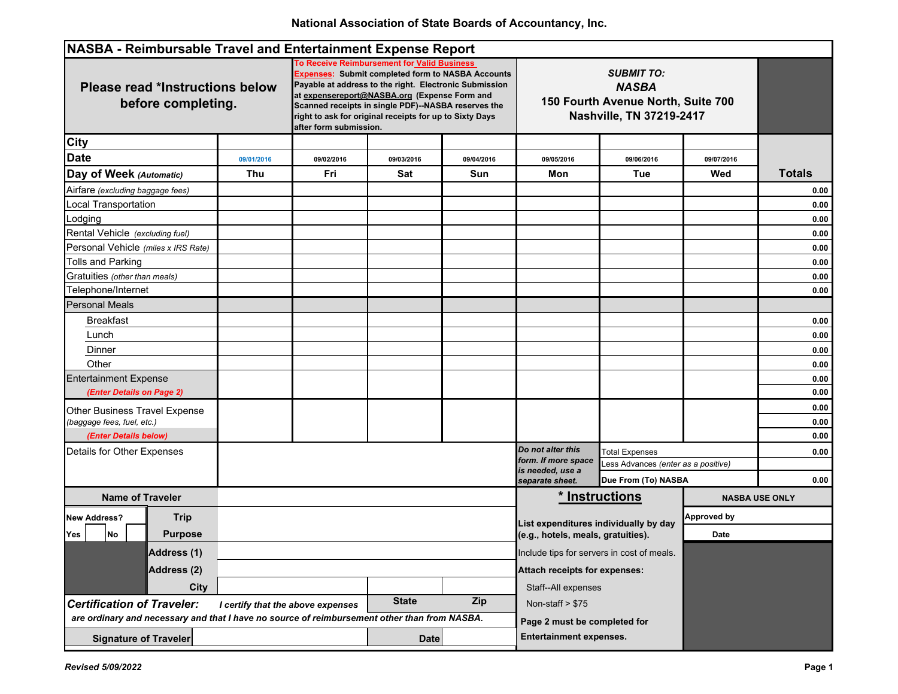| NASBA - Reimbursable Travel and Entertainment Expense Report                                 |                                                                                                                                                                                                                                                                                                                                                               |              |            |                                                                                                                                                            |                                    |                    |                       |
|----------------------------------------------------------------------------------------------|---------------------------------------------------------------------------------------------------------------------------------------------------------------------------------------------------------------------------------------------------------------------------------------------------------------------------------------------------------------|--------------|------------|------------------------------------------------------------------------------------------------------------------------------------------------------------|------------------------------------|--------------------|-----------------------|
| <b>Please read *Instructions below</b><br>before completing.                                 | To Receive Reimbursement for Valid Business<br><b>Expenses: Submit completed form to NASBA Accounts</b><br>Payable at address to the right. Electronic Submission<br>at expensereport@NASBA.org (Expense Form and<br>Scanned receipts in single PDF)--NASBA reserves the<br>right to ask for original receipts for up to Sixty Days<br>after form submission. |              |            | <b>SUBMIT TO:</b><br><b>NASBA</b><br>150 Fourth Avenue North, Suite 700<br>Nashville, TN 37219-2417                                                        |                                    |                    |                       |
| <b>City</b>                                                                                  |                                                                                                                                                                                                                                                                                                                                                               |              |            |                                                                                                                                                            |                                    |                    |                       |
| <b>Date</b><br>09/01/2016                                                                    | 09/02/2016                                                                                                                                                                                                                                                                                                                                                    | 09/03/2016   | 09/04/2016 | 09/05/2016                                                                                                                                                 | 09/06/2016                         | 09/07/2016         |                       |
| Day of Week (Automatic)<br>Thu                                                               | Fri                                                                                                                                                                                                                                                                                                                                                           | Sat          | Sun        | Mon                                                                                                                                                        | Tue                                | Wed                | <b>Totals</b>         |
| Airfare (excluding baggage fees)                                                             |                                                                                                                                                                                                                                                                                                                                                               |              |            |                                                                                                                                                            |                                    |                    | 0.00                  |
| <b>Local Transportation</b>                                                                  |                                                                                                                                                                                                                                                                                                                                                               |              |            |                                                                                                                                                            |                                    |                    | 0.00                  |
| Lodging                                                                                      |                                                                                                                                                                                                                                                                                                                                                               |              |            |                                                                                                                                                            |                                    |                    | 0.00                  |
| Rental Vehicle (excluding fuel)                                                              |                                                                                                                                                                                                                                                                                                                                                               |              |            |                                                                                                                                                            |                                    |                    | 0.00                  |
| Personal Vehicle (miles x IRS Rate)                                                          |                                                                                                                                                                                                                                                                                                                                                               |              |            |                                                                                                                                                            |                                    |                    | 0.00                  |
| <b>Tolls and Parking</b>                                                                     |                                                                                                                                                                                                                                                                                                                                                               |              |            |                                                                                                                                                            |                                    |                    | 0.00                  |
| Gratuities (other than meals)                                                                |                                                                                                                                                                                                                                                                                                                                                               |              |            |                                                                                                                                                            |                                    |                    | 0.00                  |
| Telephone/Internet                                                                           |                                                                                                                                                                                                                                                                                                                                                               |              |            |                                                                                                                                                            |                                    |                    | 0.00                  |
| <b>Personal Meals</b>                                                                        |                                                                                                                                                                                                                                                                                                                                                               |              |            |                                                                                                                                                            |                                    |                    |                       |
| <b>Breakfast</b>                                                                             |                                                                                                                                                                                                                                                                                                                                                               |              |            |                                                                                                                                                            |                                    |                    | 0.00                  |
| Lunch                                                                                        |                                                                                                                                                                                                                                                                                                                                                               |              |            |                                                                                                                                                            |                                    |                    | 0.00                  |
| Dinner                                                                                       |                                                                                                                                                                                                                                                                                                                                                               |              |            |                                                                                                                                                            |                                    |                    | 0.00                  |
| Other                                                                                        |                                                                                                                                                                                                                                                                                                                                                               |              |            |                                                                                                                                                            |                                    |                    | 0.00                  |
| <b>Entertainment Expense</b>                                                                 |                                                                                                                                                                                                                                                                                                                                                               |              |            |                                                                                                                                                            |                                    |                    | 0.00                  |
| (Enter Details on Page 2)                                                                    |                                                                                                                                                                                                                                                                                                                                                               |              |            |                                                                                                                                                            |                                    |                    | 0.00                  |
| Other Business Travel Expense                                                                |                                                                                                                                                                                                                                                                                                                                                               |              |            |                                                                                                                                                            |                                    |                    | 0.00                  |
| (baggage fees, fuel, etc.)                                                                   |                                                                                                                                                                                                                                                                                                                                                               |              |            |                                                                                                                                                            |                                    |                    | 0.00                  |
| (Enter Details below)                                                                        |                                                                                                                                                                                                                                                                                                                                                               |              |            |                                                                                                                                                            |                                    |                    | 0.00                  |
| Details for Other Expenses                                                                   |                                                                                                                                                                                                                                                                                                                                                               |              |            | Do not alter this<br>form. If more space<br>is needed, use a                                                                                               | <b>Total Expenses</b>              |                    | 0.00                  |
|                                                                                              |                                                                                                                                                                                                                                                                                                                                                               |              |            |                                                                                                                                                            | ess Advances (enter as a positive) |                    |                       |
|                                                                                              |                                                                                                                                                                                                                                                                                                                                                               |              |            | separate sheet.                                                                                                                                            | Due From (To) NASBA                |                    | 0.00                  |
| <b>Name of Traveler</b>                                                                      |                                                                                                                                                                                                                                                                                                                                                               |              |            |                                                                                                                                                            | <u><b>*</b> Instructions</u>       |                    | <b>NASBA USE ONLY</b> |
| <b>Trip</b><br><b>New Address?</b>                                                           |                                                                                                                                                                                                                                                                                                                                                               |              |            | List expenditures individually by day<br>(e.g., hotels, meals, gratuities).<br>Include tips for servers in cost of meals.<br>Attach receipts for expenses: |                                    | <b>Approved by</b> |                       |
| <b>Purpose</b><br>Yes<br>No                                                                  |                                                                                                                                                                                                                                                                                                                                                               |              |            |                                                                                                                                                            |                                    | Date               |                       |
| Address (1)                                                                                  |                                                                                                                                                                                                                                                                                                                                                               |              |            |                                                                                                                                                            |                                    |                    |                       |
| Address (2)                                                                                  |                                                                                                                                                                                                                                                                                                                                                               |              |            |                                                                                                                                                            |                                    |                    |                       |
| <b>City</b>                                                                                  |                                                                                                                                                                                                                                                                                                                                                               |              |            | Staff--All expenses                                                                                                                                        |                                    |                    |                       |
| <b>Certification of Traveler:</b>                                                            | I certify that the above expenses                                                                                                                                                                                                                                                                                                                             | <b>State</b> | Zip        | Non-staff > \$75                                                                                                                                           |                                    |                    |                       |
| are ordinary and necessary and that I have no source of reimbursement other than from NASBA. |                                                                                                                                                                                                                                                                                                                                                               |              |            | Page 2 must be completed for                                                                                                                               |                                    |                    |                       |
| <b>Signature of Traveler</b>                                                                 |                                                                                                                                                                                                                                                                                                                                                               | <b>Date</b>  |            | <b>Entertainment expenses.</b>                                                                                                                             |                                    |                    |                       |